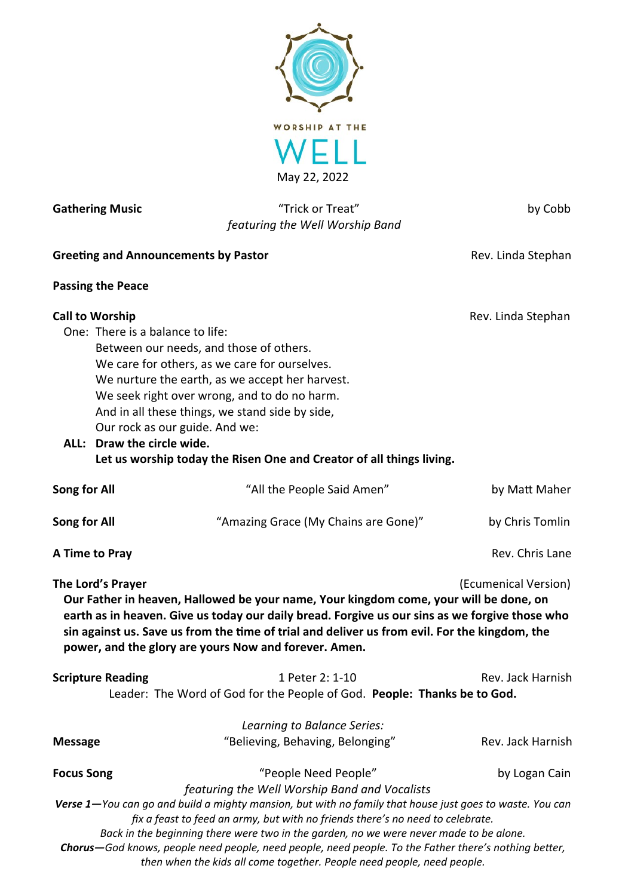

|                                                                                          | iviay 22, 2022                                                                                                                                                                                                                                                                                                                                                |                      |
|------------------------------------------------------------------------------------------|---------------------------------------------------------------------------------------------------------------------------------------------------------------------------------------------------------------------------------------------------------------------------------------------------------------------------------------------------------------|----------------------|
| <b>Gathering Music</b>                                                                   | "Trick or Treat"<br>featuring the Well Worship Band                                                                                                                                                                                                                                                                                                           | by Cobb              |
|                                                                                          | <b>Greeting and Announcements by Pastor</b>                                                                                                                                                                                                                                                                                                                   | Rev. Linda Stephan   |
| <b>Passing the Peace</b>                                                                 |                                                                                                                                                                                                                                                                                                                                                               |                      |
| <b>Call to Worship</b><br>One: There is a balance to life:<br>ALL: Draw the circle wide. | Between our needs, and those of others.<br>We care for others, as we care for ourselves.<br>We nurture the earth, as we accept her harvest.<br>We seek right over wrong, and to do no harm.<br>And in all these things, we stand side by side,<br>Our rock as our guide. And we:<br>Let us worship today the Risen One and Creator of all things living.      | Rev. Linda Stephan   |
| Song for All                                                                             | "All the People Said Amen"                                                                                                                                                                                                                                                                                                                                    | by Matt Maher        |
| Song for All                                                                             | "Amazing Grace (My Chains are Gone)"                                                                                                                                                                                                                                                                                                                          | by Chris Tomlin      |
| A Time to Pray                                                                           |                                                                                                                                                                                                                                                                                                                                                               | Rev. Chris Lane      |
| The Lord's Prayer                                                                        | Our Father in heaven, Hallowed be your name, Your kingdom come, your will be done, on<br>earth as in heaven. Give us today our daily bread. Forgive us our sins as we forgive those who<br>sin against us. Save us from the time of trial and deliver us from evil. For the kingdom, the<br>power, and the glory are yours Now and forever. Amen.             | (Ecumenical Version) |
| <b>Scripture Reading</b>                                                                 | 1 Peter 2: 1-10<br>Leader: The Word of God for the People of God. People: Thanks be to God.                                                                                                                                                                                                                                                                   | Rev. Jack Harnish    |
| <b>Message</b>                                                                           | Learning to Balance Series:<br>"Believing, Behaving, Belonging"                                                                                                                                                                                                                                                                                               | Rev. Jack Harnish    |
| <b>Focus Song</b>                                                                        | "People Need People"<br>featuring the Well Worship Band and Vocalists<br>Verse 1-You can go and build a mighty mansion, but with no family that house just goes to waste. You can<br>fix a feast to feed an army, but with no friends there's no need to celebrate.<br>Back in the beginning there were two in the garden, no we were never made to be alone. | by Logan Cain        |

*Chorus—God knows, people need people, need people, need people. To the Father there's nothing better,* 

*then when the kids all come together. People need people, need people.*